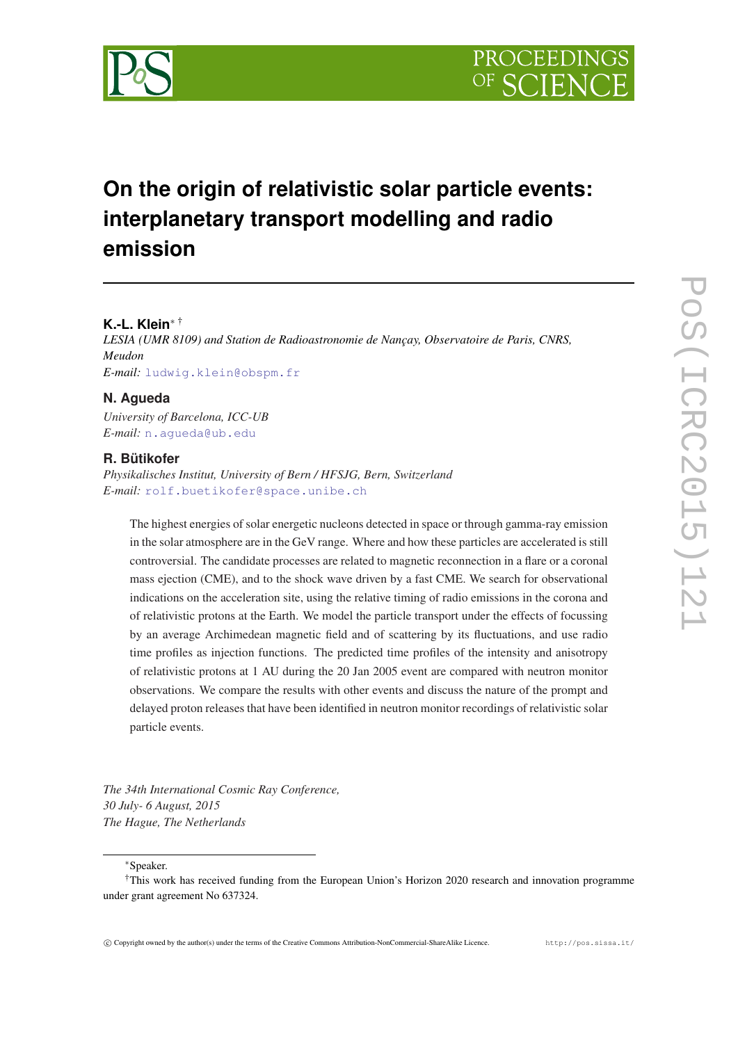

# **On the origin of relativistic solar particle events: interplanetary transport modelling and radio emission**

# **K.-L. Klein**<sup>∗</sup> †

*LESIA (UMR 8109) and Station de Radioastronomie de Nançay, Observatoire de Paris, CNRS, Meudon E-mail:* [ludwig.klein@obspm.fr](mailto:ludwig.klein@obspm.fr)

# **N. Agueda**

*University of Barcelona, ICC-UB E-mail:* [n.agueda@ub.edu](mailto:n.agueda@ub.edu)

## **R. Bütikofer**

*Physikalisches Institut, University of Bern / HFSJG, Bern, Switzerland E-mail:* [rolf.buetikofer@space.unibe.ch](mailto:rolf.buetikofer@space.unibe.ch)

The highest energies of solar energetic nucleons detected in space or through gamma-ray emission in the solar atmosphere are in the GeV range. Where and how these particles are accelerated is still controversial. The candidate processes are related to magnetic reconnection in a flare or a coronal mass ejection (CME), and to the shock wave driven by a fast CME. We search for observational indications on the acceleration site, using the relative timing of radio emissions in the corona and of relativistic protons at the Earth. We model the particle transport under the effects of focussing by an average Archimedean magnetic field and of scattering by its fluctuations, and use radio time profiles as injection functions. The predicted time profiles of the intensity and anisotropy of relativistic protons at 1 AU during the 20 Jan 2005 event are compared with neutron monitor observations. We compare the results with other events and discuss the nature of the prompt and delayed proton releases that have been identified in neutron monitor recordings of relativistic solar particle events.

*The 34th International Cosmic Ray Conference, 30 July- 6 August, 2015 The Hague, The Netherlands*

<sup>∗</sup>Speaker.

<sup>†</sup>This work has received funding from the European Union's Horizon 2020 research and innovation programme under grant agreement No 637324.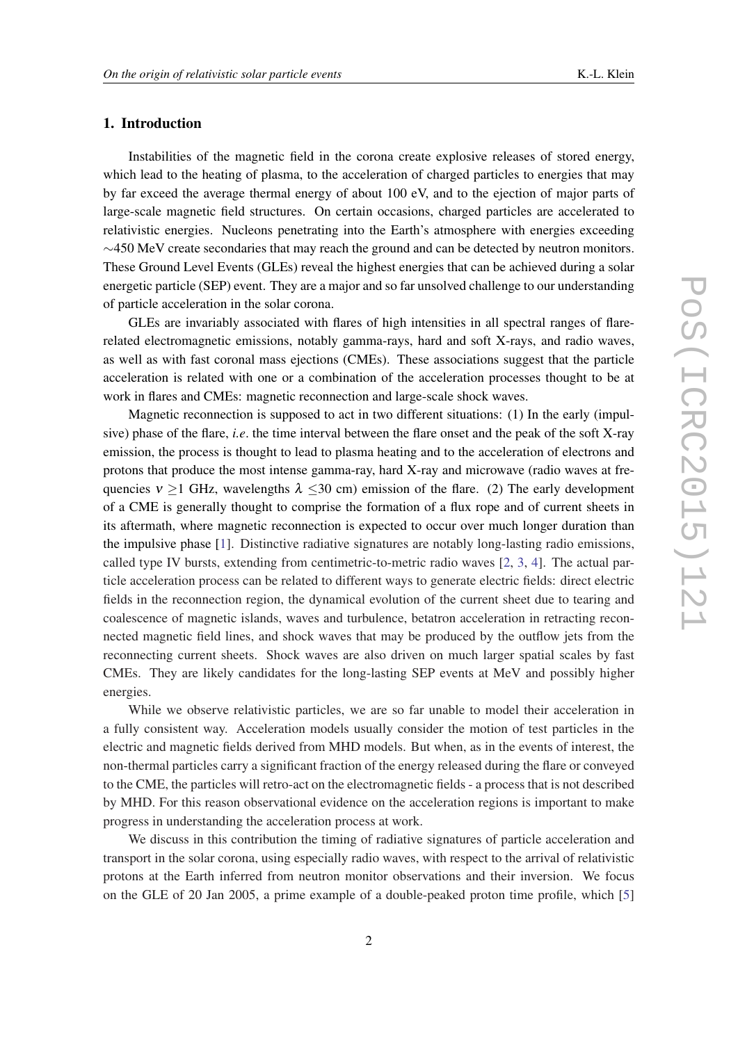# 1. Introduction

Instabilities of the magnetic field in the corona create explosive releases of stored energy, which lead to the heating of plasma, to the acceleration of charged particles to energies that may by far exceed the average thermal energy of about 100 eV, and to the ejection of major parts of large-scale magnetic field structures. On certain occasions, charged particles are accelerated to relativistic energies. Nucleons penetrating into the Earth's atmosphere with energies exceeding  $\sim$ 450 MeV create secondaries that may reach the ground and can be detected by neutron monitors. These Ground Level Events (GLEs) reveal the highest energies that can be achieved during a solar energetic particle (SEP) event. They are a major and so far unsolved challenge to our understanding of particle acceleration in the solar corona.

GLEs are invariably associated with flares of high intensities in all spectral ranges of flarerelated electromagnetic emissions, notably gamma-rays, hard and soft X-rays, and radio waves, as well as with fast coronal mass ejections (CMEs). These associations suggest that the particle acceleration is related with one or a combination of the acceleration processes thought to be at work in flares and CMEs: magnetic reconnection and large-scale shock waves.

Magnetic reconnection is supposed to act in two different situations: (1) In the early (impulsive) phase of the flare, *i.e*. the time interval between the flare onset and the peak of the soft X-ray emission, the process is thought to lead to plasma heating and to the acceleration of electrons and protons that produce the most intense gamma-ray, hard X-ray and microwave (radio waves at frequencies  $v \ge 1$  GHz, wavelengths  $\lambda \le 30$  cm) emission of the flare. (2) The early development of a CME is generally thought to comprise the formation of a flux rope and of current sheets in its aftermath, where magnetic reconnection is expected to occur over much longer duration than the impulsive phase [\[1\]](#page-7-0). Distinctive radiative signatures are notably long-lasting radio emissions, called type IV bursts, extending from centimetric-to-metric radio waves  $[2, 3, 4]$  $[2, 3, 4]$  $[2, 3, 4]$  $[2, 3, 4]$  $[2, 3, 4]$  $[2, 3, 4]$ . The actual particle acceleration process can be related to different ways to generate electric fields: direct electric fields in the reconnection region, the dynamical evolution of the current sheet due to tearing and coalescence of magnetic islands, waves and turbulence, betatron acceleration in retracting reconnected magnetic field lines, and shock waves that may be produced by the outflow jets from the reconnecting current sheets. Shock waves are also driven on much larger spatial scales by fast CMEs. They are likely candidates for the long-lasting SEP events at MeV and possibly higher energies.

While we observe relativistic particles, we are so far unable to model their acceleration in a fully consistent way. Acceleration models usually consider the motion of test particles in the electric and magnetic fields derived from MHD models. But when, as in the events of interest, the non-thermal particles carry a significant fraction of the energy released during the flare or conveyed to the CME, the particles will retro-act on the electromagnetic fields - a process that is not described by MHD. For this reason observational evidence on the acceleration regions is important to make progress in understanding the acceleration process at work.

We discuss in this contribution the timing of radiative signatures of particle acceleration and transport in the solar corona, using especially radio waves, with respect to the arrival of relativistic protons at the Earth inferred from neutron monitor observations and their inversion. We focus on the GLE of 20 Jan 2005, a prime example of a double-peaked proton time profile, which [[5](#page-7-0)]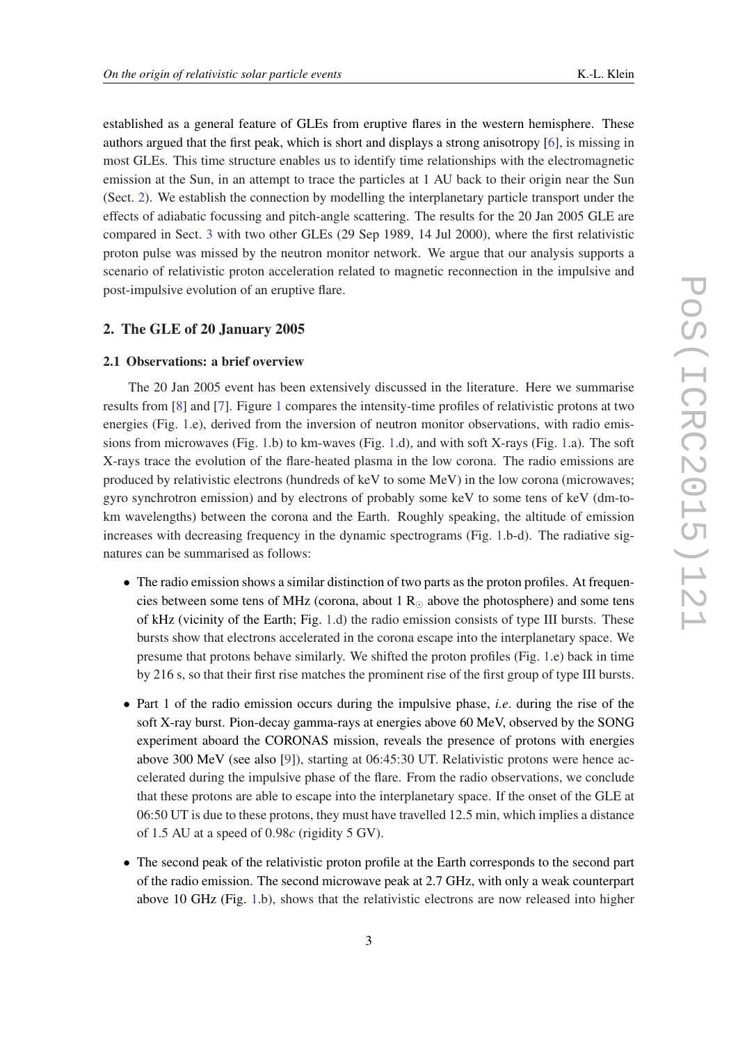established as a general feature of GLEs from eruptive flares in the western hemisphere. These authors argued that the first peak, which is short and displays a strong anisotropy [\[6\]](#page-7-0), is missing in most GLEs. This time structure enables us to identify time relationships with the electromagnetic emission at the Sun, in an attempt to trace the particles at 1 AU back to their origin near the Sun (Sect. 2). We establish the connection by modelling the interplanetary particle transport under the effects of adiabatic focussing and pitch-angle scattering. The results for the 20 Jan 2005 GLE are compared in Sect. [3](#page-5-0) with two other GLEs (29 Sep 1989, 14 Jul 2000), where the first relativistic proton pulse was missed by the neutron monitor network. We argue that our analysis supports a scenario of relativistic proton acceleration related to magnetic reconnection in the impulsive and post-impulsive evolution of an eruptive flare.

#### 2. The GLE of 20 January 2005

## 2.1 Observations: a brief overview

The 20 Jan 2005 event has been extensively discussed in the literature. Here we summarise results from [\[8](#page-7-0)] and [[7](#page-7-0)]. Figure [1](#page-3-0) compares the intensity-time profiles of relativistic protons at two energies (Fig. [1.](#page-3-0)e), derived from the inversion of neutron monitor observations, with radio emissions from microwaves (Fig. [1.](#page-3-0)b) to km-waves (Fig. [1.](#page-3-0)d), and with soft X-rays (Fig. [1](#page-3-0).a). The soft X-rays trace the evolution of the flare-heated plasma in the low corona. The radio emissions are produced by relativistic electrons (hundreds of keV to some MeV) in the low corona (microwaves; gyro synchrotron emission) and by electrons of probably some keV to some tens of keV (dm-tokm wavelengths) between the corona and the Earth. Roughly speaking, the altitude of emission increases with decreasing frequency in the dynamic spectrograms (Fig. [1.](#page-3-0)b-d). The radiative signatures can be summarised as follows:

- The radio emission shows a similar distinction of two parts as the proton profiles. At frequencies between some tens of MHz (corona, about 1  $R_{\odot}$  above the photosphere) and some tens of kHz (vicinity of the Earth; Fig. [1](#page-3-0).d) the radio emission consists of type III bursts. These bursts show that electrons accelerated in the corona escape into the interplanetary space. We presume that protons behave similarly. We shifted the proton profiles (Fig. [1.](#page-3-0)e) back in time by 216 s, so that their first rise matches the prominent rise of the first group of type III bursts.
- Part 1 of the radio emission occurs during the impulsive phase, *i.e*. during the rise of the soft X-ray burst. Pion-decay gamma-rays at energies above 60 MeV, observed by the SONG experiment aboard the CORONAS mission, reveals the presence of protons with energies above 300 MeV (see also [[9](#page-7-0)]), starting at 06:45:30 UT. Relativistic protons were hence accelerated during the impulsive phase of the flare. From the radio observations, we conclude that these protons are able to escape into the interplanetary space. If the onset of the GLE at 06:50 UT is due to these protons, they must have travelled 12.5 min, which implies a distance of 1.5 AU at a speed of 0.98*c* (rigidity 5 GV).
- The second peak of the relativistic proton profile at the Earth corresponds to the second part of the radio emission. The second microwave peak at 2.7 GHz, with only a weak counterpart above 10 GHz (Fig. [1](#page-3-0).b), shows that the relativistic electrons are now released into higher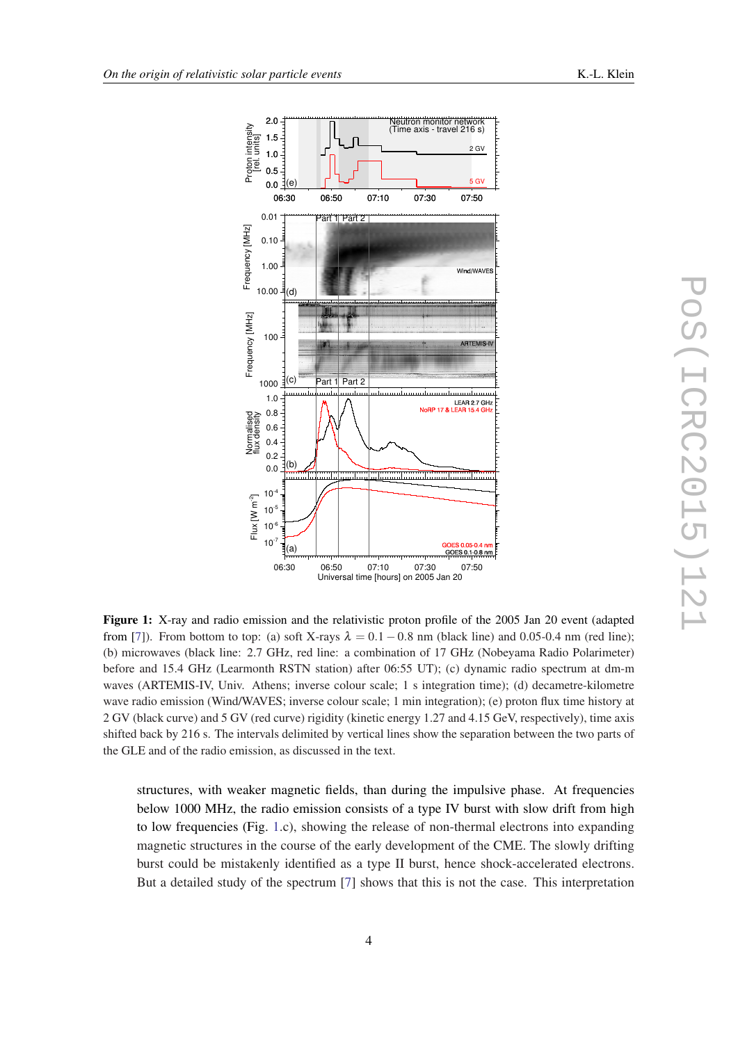<span id="page-3-0"></span>

Figure 1: X-ray and radio emission and the relativistic proton profile of the 2005 Jan 20 event (adapted from [\[7](#page-7-0)]). From bottom to top: (a) soft X-rays  $\lambda = 0.1 - 0.8$  nm (black line) and 0.05-0.4 nm (red line); (b) microwaves (black line: 2.7 GHz, red line: a combination of 17 GHz (Nobeyama Radio Polarimeter) before and 15.4 GHz (Learmonth RSTN station) after 06:55 UT); (c) dynamic radio spectrum at dm-m waves (ARTEMIS-IV, Univ. Athens; inverse colour scale; 1 s integration time); (d) decametre-kilometre wave radio emission (Wind/WAVES; inverse colour scale; 1 min integration); (e) proton flux time history at 2 GV (black curve) and 5 GV (red curve) rigidity (kinetic energy 1.27 and 4.15 GeV, respectively), time axis shifted back by 216 s. The intervals delimited by vertical lines show the separation between the two parts of the GLE and of the radio emission, as discussed in the text.

structures, with weaker magnetic fields, than during the impulsive phase. At frequencies below 1000 MHz, the radio emission consists of a type IV burst with slow drift from high to low frequencies (Fig. 1.c), showing the release of non-thermal electrons into expanding magnetic structures in the course of the early development of the CME. The slowly drifting burst could be mistakenly identified as a type II burst, hence shock-accelerated electrons. But a detailed study of the spectrum [\[7\]](#page-7-0) shows that this is not the case. This interpretation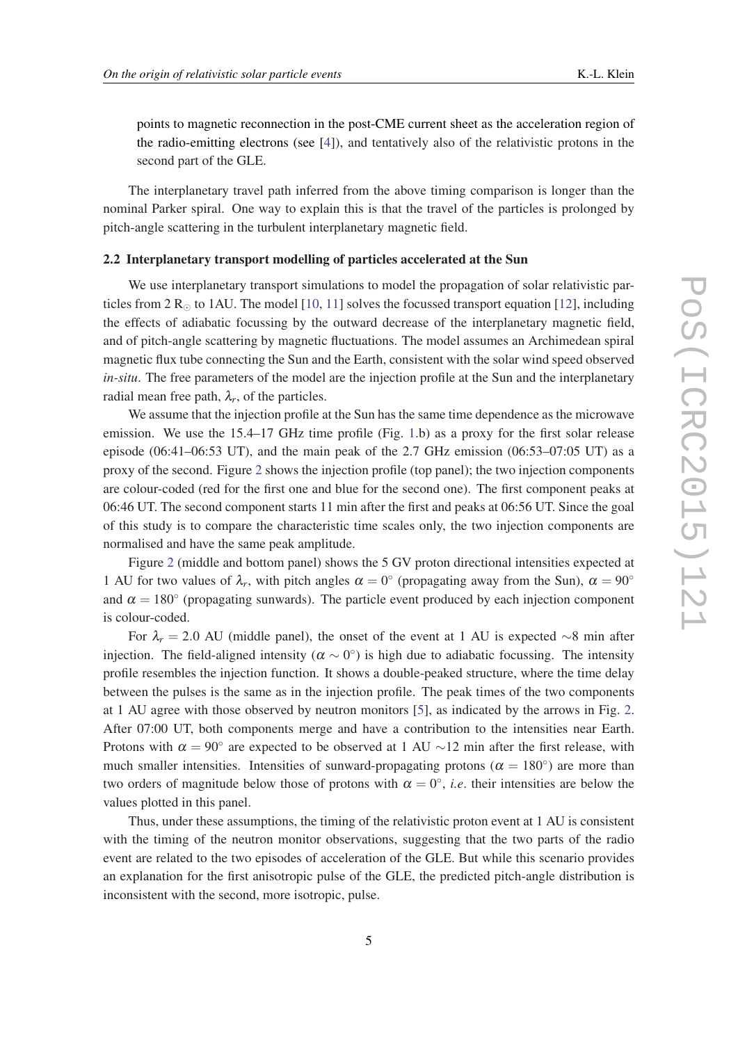points to magnetic reconnection in the post-CME current sheet as the acceleration region of the radio-emitting electrons (see [\[4\]](#page-7-0)), and tentatively also of the relativistic protons in the second part of the GLE.

The interplanetary travel path inferred from the above timing comparison is longer than the nominal Parker spiral. One way to explain this is that the travel of the particles is prolonged by pitch-angle scattering in the turbulent interplanetary magnetic field.

#### 2.2 Interplanetary transport modelling of particles accelerated at the Sun

We use interplanetary transport simulations to model the propagation of solar relativistic particles from 2  $R_{\odot}$  to 1AU. The model [[10,](#page-7-0) [11\]](#page-7-0) solves the focussed transport equation [[12\]](#page-7-0), including the effects of adiabatic focussing by the outward decrease of the interplanetary magnetic field, and of pitch-angle scattering by magnetic fluctuations. The model assumes an Archimedean spiral magnetic flux tube connecting the Sun and the Earth, consistent with the solar wind speed observed *in-situ*. The free parameters of the model are the injection profile at the Sun and the interplanetary radial mean free path,  $\lambda_r$ , of the particles.

We assume that the injection profile at the Sun has the same time dependence as the microwave emission. We use the [1](#page-3-0)5.4–17 GHz time profile (Fig. 1.b) as a proxy for the first solar release episode  $(06:41-06:53 \text{ UT})$ , and the main peak of the 2.7 GHz emission  $(06:53-07:05 \text{ UT})$  as a proxy of the second. Figure [2](#page-5-0) shows the injection profile (top panel); the two injection components are colour-coded (red for the first one and blue for the second one). The first component peaks at 06:46 UT. The second component starts 11 min after the first and peaks at 06:56 UT. Since the goal of this study is to compare the characteristic time scales only, the two injection components are normalised and have the same peak amplitude.

Figure [2](#page-5-0) (middle and bottom panel) shows the 5 GV proton directional intensities expected at 1 AU for two values of  $\lambda_r$ , with pitch angles  $\alpha = 0^{\circ}$  (propagating away from the Sun),  $\alpha = 90^{\circ}$ and  $\alpha = 180^\circ$  (propagating sunwards). The particle event produced by each injection component is colour-coded.

For  $\lambda_r = 2.0$  AU (middle panel), the onset of the event at 1 AU is expected ∼8 min after injection. The field-aligned intensity ( $\alpha \sim 0^{\circ}$ ) is high due to adiabatic focussing. The intensity profile resembles the injection function. It shows a double-peaked structure, where the time delay between the pulses is the same as in the injection profile. The peak times of the two components at 1 AU agree with those observed by neutron monitors [[5](#page-7-0)], as indicated by the arrows in Fig. [2](#page-5-0). After 07:00 UT, both components merge and have a contribution to the intensities near Earth. Protons with  $\alpha = 90^\circ$  are expected to be observed at 1 AU ~12 min after the first release, with much smaller intensities. Intensities of sunward-propagating protons ( $\alpha = 180^{\circ}$ ) are more than two orders of magnitude below those of protons with  $\alpha = 0^{\circ}$ , *i.e.* their intensities are below the values plotted in this panel.

Thus, under these assumptions, the timing of the relativistic proton event at 1 AU is consistent with the timing of the neutron monitor observations, suggesting that the two parts of the radio event are related to the two episodes of acceleration of the GLE. But while this scenario provides an explanation for the first anisotropic pulse of the GLE, the predicted pitch-angle distribution is inconsistent with the second, more isotropic, pulse.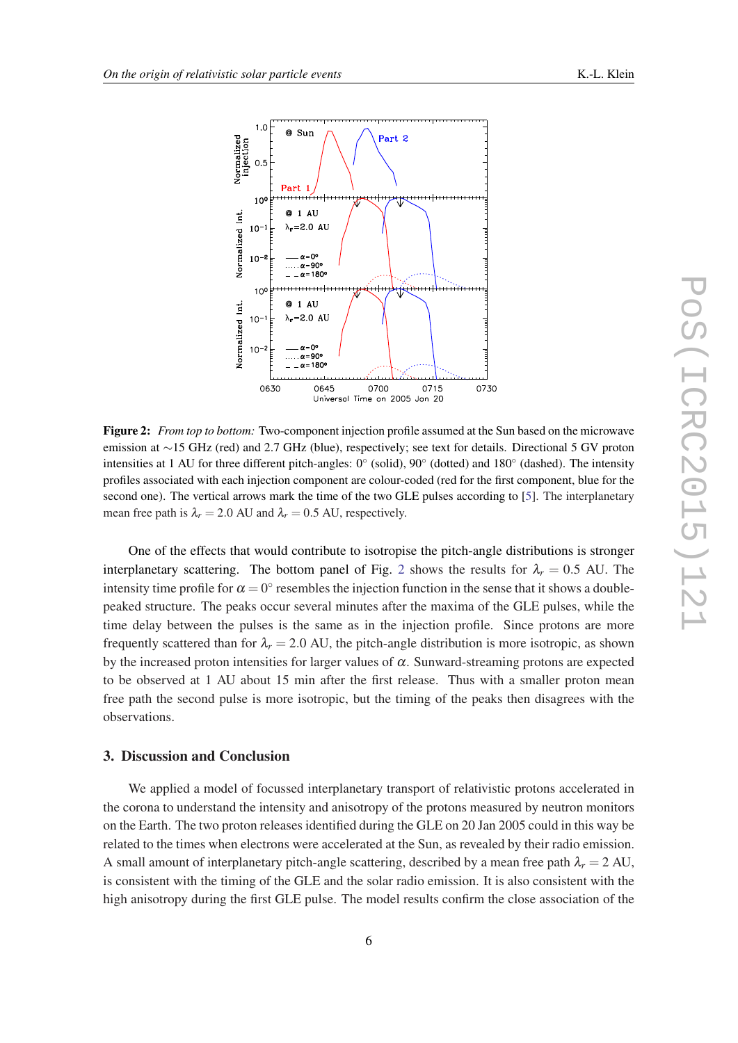<span id="page-5-0"></span>

Figure 2: *From top to bottom:* Two-component injection profile assumed at the Sun based on the microwave emission at ∼15 GHz (red) and 2.7 GHz (blue), respectively; see text for details. Directional 5 GV proton intensities at 1 AU for three different pitch-angles: 0° (solid), 90° (dotted) and 180° (dashed). The intensity profiles associated with each injection component are colour-coded (red for the first component, blue for the second one). The vertical arrows mark the time of the two GLE pulses according to [\[5](#page-7-0)]. The interplanetary mean free path is  $\lambda_r = 2.0$  AU and  $\lambda_r = 0.5$  AU, respectively.

One of the effects that would contribute to isotropise the pitch-angle distributions is stronger interplanetary scattering. The bottom panel of Fig. 2 shows the results for  $\lambda_r = 0.5$  AU. The intensity time profile for  $\alpha = 0^{\circ}$  resembles the injection function in the sense that it shows a doublepeaked structure. The peaks occur several minutes after the maxima of the GLE pulses, while the time delay between the pulses is the same as in the injection profile. Since protons are more frequently scattered than for  $\lambda_r = 2.0$  AU, the pitch-angle distribution is more isotropic, as shown by the increased proton intensities for larger values of  $\alpha$ . Sunward-streaming protons are expected to be observed at 1 AU about 15 min after the first release. Thus with a smaller proton mean free path the second pulse is more isotropic, but the timing of the peaks then disagrees with the observations.

## 3. Discussion and Conclusion

We applied a model of focussed interplanetary transport of relativistic protons accelerated in the corona to understand the intensity and anisotropy of the protons measured by neutron monitors on the Earth. The two proton releases identified during the GLE on 20 Jan 2005 could in this way be related to the times when electrons were accelerated at the Sun, as revealed by their radio emission. A small amount of interplanetary pitch-angle scattering, described by a mean free path  $\lambda_r = 2$  AU, is consistent with the timing of the GLE and the solar radio emission. It is also consistent with the high anisotropy during the first GLE pulse. The model results confirm the close association of the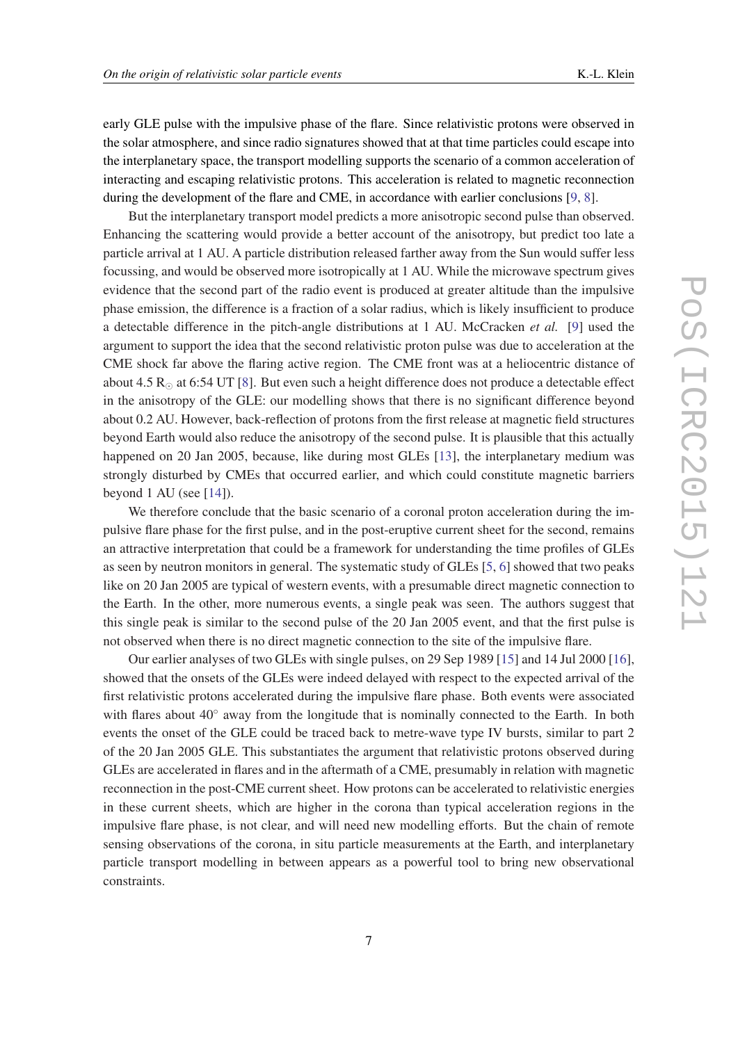early GLE pulse with the impulsive phase of the flare. Since relativistic protons were observed in the solar atmosphere, and since radio signatures showed that at that time particles could escape into the interplanetary space, the transport modelling supports the scenario of a common acceleration of interacting and escaping relativistic protons. This acceleration is related to magnetic reconnection during the development of the flare and CME, in accordance with earlier conclusions [\[9,](#page-7-0) [8\]](#page-7-0).

But the interplanetary transport model predicts a more anisotropic second pulse than observed. Enhancing the scattering would provide a better account of the anisotropy, but predict too late a particle arrival at 1 AU. A particle distribution released farther away from the Sun would suffer less focussing, and would be observed more isotropically at 1 AU. While the microwave spectrum gives evidence that the second part of the radio event is produced at greater altitude than the impulsive phase emission, the difference is a fraction of a solar radius, which is likely insufficient to produce a detectable difference in the pitch-angle distributions at 1 AU. McCracken *et al.* [[9\]](#page-7-0) used the argument to support the idea that the second relativistic proton pulse was due to acceleration at the CME shock far above the flaring active region. The CME front was at a heliocentric distance of about 4.5  $R_{\odot}$  at 6:54 UT [\[8\]](#page-7-0). But even such a height difference does not produce a detectable effect in the anisotropy of the GLE: our modelling shows that there is no significant difference beyond about 0.2 AU. However, back-reflection of protons from the first release at magnetic field structures beyond Earth would also reduce the anisotropy of the second pulse. It is plausible that this actually happened on 20 Jan 2005, because, like during most GLEs [[13\]](#page-7-0), the interplanetary medium was strongly disturbed by CMEs that occurred earlier, and which could constitute magnetic barriers beyond  $1$  AU (see [\[14\]](#page-7-0)).

We therefore conclude that the basic scenario of a coronal proton acceleration during the impulsive flare phase for the first pulse, and in the post-eruptive current sheet for the second, remains an attractive interpretation that could be a framework for understanding the time profiles of GLEs as seen by neutron monitors in general. The systematic study of GLEs [\[5,](#page-7-0) [6](#page-7-0)] showed that two peaks like on 20 Jan 2005 are typical of western events, with a presumable direct magnetic connection to the Earth. In the other, more numerous events, a single peak was seen. The authors suggest that this single peak is similar to the second pulse of the 20 Jan 2005 event, and that the first pulse is not observed when there is no direct magnetic connection to the site of the impulsive flare.

Our earlier analyses of two GLEs with single pulses, on 29 Sep 1989 [\[15](#page-7-0)] and 14 Jul 2000 [[16\]](#page-7-0), showed that the onsets of the GLEs were indeed delayed with respect to the expected arrival of the first relativistic protons accelerated during the impulsive flare phase. Both events were associated with flares about 40° away from the longitude that is nominally connected to the Earth. In both events the onset of the GLE could be traced back to metre-wave type IV bursts, similar to part 2 of the 20 Jan 2005 GLE. This substantiates the argument that relativistic protons observed during GLEs are accelerated in flares and in the aftermath of a CME, presumably in relation with magnetic reconnection in the post-CME current sheet. How protons can be accelerated to relativistic energies in these current sheets, which are higher in the corona than typical acceleration regions in the impulsive flare phase, is not clear, and will need new modelling efforts. But the chain of remote sensing observations of the corona, in situ particle measurements at the Earth, and interplanetary particle transport modelling in between appears as a powerful tool to bring new observational constraints.